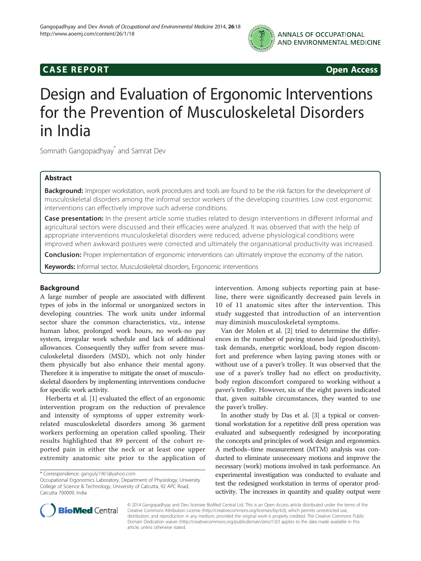

# **CASE REPORT CASE REPORT**

# Design and Evaluation of Ergonomic Interventions for the Prevention of Musculoskeletal Disorders in India

Somnath Gangopadhyay<sup>\*</sup> and Samrat Dev

# Abstract

Background: Improper workstation, work procedures and tools are found to be the risk factors for the development of musculoskeletal disorders among the informal sector workers of the developing countries. Low cost ergonomic interventions can effectively improve such adverse conditions.

Case presentation: In the present article some studies related to design interventions in different informal and agricultural sectors were discussed and their efficacies were analyzed. It was observed that with the help of appropriate interventions musculoskeletal disorders were reduced, adverse physiological conditions were improved when awkward postures were corrected and ultimately the organisational productivity was increased.

**Conclusion:** Proper implementation of ergonomic interventions can ultimately improve the economy of the nation.

Keywords: Informal sector, Musculoskeletal disorders, Ergonomic interventions

# Background

A large number of people are associated with different types of jobs in the informal or unorganized sectors in developing countries. The work units under informal sector share the common characteristics, viz., intense human labor, prolonged work hours, no work-no pay system, irregular work schedule and lack of additional allowances. Consequently they suffer from severe musculoskeletal disorders (MSD), which not only hinder them physically but also enhance their mental agony. Therefore it is imperative to mitigate the onset of musculoskeletal disorders by implementing interventions conducive for specific work activity.

Herberta et al. [[1\]](#page-5-0) evaluated the effect of an ergonomic intervention program on the reduction of prevalence and intensity of symptoms of upper extremity workrelated musculoskeletal disorders among 36 garment workers performing an operation called spooling. Their results highlighted that 89 percent of the cohort reported pain in either the neck or at least one upper extremity anatomic site prior to the application of intervention. Among subjects reporting pain at baseline, there were significantly decreased pain levels in 10 of 11 anatomic sites after the intervention. This study suggested that introduction of an intervention may diminish musculoskeletal symptoms.

Van der Molen et al. [\[2](#page-5-0)] tried to determine the differences in the number of paving stones laid (productivity), task demands, energetic workload, body region discomfort and preference when laying paving stones with or without use of a paver's trolley. It was observed that the use of a paver's trolley had no effect on productivity, body region discomfort compared to working without a paver's trolley. However, six of the eight pavers indicated that, given suitable circumstances, they wanted to use the paver's trolley.

In another study by Das et al. [\[3](#page-5-0)] a typical or conventional workstation for a repetitive drill press operation was evaluated and subsequently redesigned by incorporating the concepts and principles of work design and ergonomics. A methods–time measurement (MTM) analysis was conducted to eliminate unnecessary motions and improve the necessary (work) motions involved in task performance. An experimental investigation was conducted to evaluate and test the redesigned workstation in terms of operator productivity. The increases in quantity and quality output were



© 2014 Gangopadhyay and Dev; licensee BioMed Central Ltd. This is an Open Access article distributed under the terms of the Creative Commons Attribution License (<http://creativecommons.org/licenses/by/4.0>), which permits unrestricted use, distribution, and reproduction in any medium, provided the original work is properly credited. The Creative Commons Public Domain Dedication waiver [\(http://creativecommons.org/publicdomain/zero/1.0/\)](http://creativecommons.org/publicdomain/zero/1.0/) applies to the data made available in this article, unless otherwise stated.

<sup>\*</sup> Correspondence: [ganguly1961@yahoo.com](mailto:ganguly1961@yahoo.com)

Occupational Ergonomics Laboratory, Department of Physiology, University College of Science & Technology, University of Calcutta, 92 APC Road, Calcutta 700009, India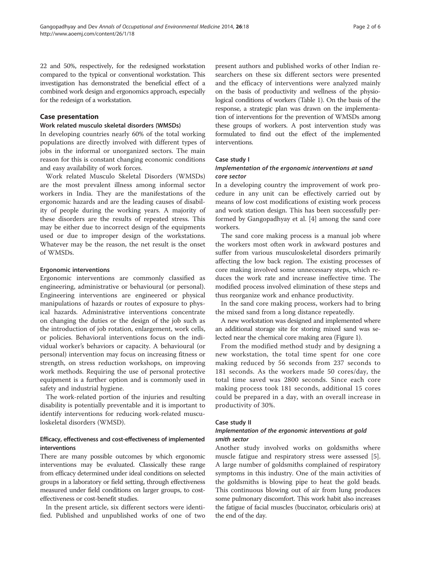22 and 50%, respectively, for the redesigned workstation compared to the typical or conventional workstation. This investigation has demonstrated the beneficial effect of a combined work design and ergonomics approach, especially for the redesign of a workstation.

# Case presentation

# Work related musculo skeletal disorders (WMSDs)

In developing countries nearly 60% of the total working populations are directly involved with different types of jobs in the informal or unorganized sectors. The main reason for this is constant changing economic conditions and easy availability of work forces.

Work related Musculo Skeletal Disorders (WMSDs) are the most prevalent illness among informal sector workers in India. They are the manifestations of the ergonomic hazards and are the leading causes of disability of people during the working years. A majority of these disorders are the results of repeated stress. This may be either due to incorrect design of the equipments used or due to improper design of the workstations. Whatever may be the reason, the net result is the onset of WMSDs.

# Ergonomic interventions

Ergonomic interventions are commonly classified as engineering, administrative or behavioural (or personal). Engineering interventions are engineered or physical manipulations of hazards or routes of exposure to physical hazards. Administrative interventions concentrate on changing the duties or the design of the job such as the introduction of job rotation, enlargement, work cells, or policies. Behavioral interventions focus on the individual worker's behaviors or capacity. A behavioural (or personal) intervention may focus on increasing fitness or strength, on stress reduction workshops, on improving work methods. Requiring the use of personal protective equipment is a further option and is commonly used in safety and industrial hygiene.

The work-related portion of the injuries and resulting disability is potentially preventable and it is important to identify interventions for reducing work-related musculoskeletal disorders (WMSD).

# Efficacy, effectiveness and cost-effectiveness of implemented interventions

There are many possible outcomes by which ergonomic interventions may be evaluated. Classically these range from efficacy determined under ideal conditions on selected groups in a laboratory or field setting, through effectiveness measured under field conditions on larger groups, to costeffectiveness or cost-benefit studies.

In the present article, six different sectors were identified. Published and unpublished works of one of two

present authors and published works of other Indian researchers on these six different sectors were presented and the efficacy of interventions were analyzed mainly on the basis of productivity and wellness of the physiological conditions of workers (Table [1\)](#page-2-0). On the basis of the response, a strategic plan was drawn on the implementation of interventions for the prevention of WMSDs among these groups of workers. A post intervention study was formulated to find out the effect of the implemented interventions.

# Case study I

# Implementation of the ergonomic interventions at sand core sector

In a developing country the improvement of work procedure in any unit can be effectively carried out by means of low cost modifications of existing work process and work station design. This has been successfully performed by Gangopadhyay et al. [\[4](#page-5-0)] among the sand core workers.

The sand core making process is a manual job where the workers most often work in awkward postures and suffer from various musculoskeletal disorders primarily affecting the low back region. The existing processes of core making involved some unnecessary steps, which reduces the work rate and increase ineffective time. The modified process involved elimination of these steps and thus reorganize work and enhance productivity.

In the sand core making process, workers had to bring the mixed sand from a long distance repeatedly.

A new workstation was designed and implemented where an additional storage site for storing mixed sand was selected near the chemical core making area (Figure [1\)](#page-3-0).

From the modified method study and by designing a new workstation, the total time spent for one core making reduced by 56 seconds from 237 seconds to 181 seconds. As the workers made 50 cores/day, the total time saved was 2800 seconds. Since each core making process took 181 seconds, additional 15 cores could be prepared in a day, with an overall increase in productivity of 30%.

# Case study II

# Implementation of the ergonomic interventions at gold smith sector

Another study involved works on goldsmiths where muscle fatigue and respiratory stress were assessed [\[5](#page-5-0)]. A large number of goldsmiths complained of respiratory symptoms in this industry. One of the main activities of the goldsmiths is blowing pipe to heat the gold beads. This continuous blowing out of air from lung produces some pulmonary discomfort. This work habit also increases the fatigue of facial muscles (buccinator, orbicularis oris) at the end of the day.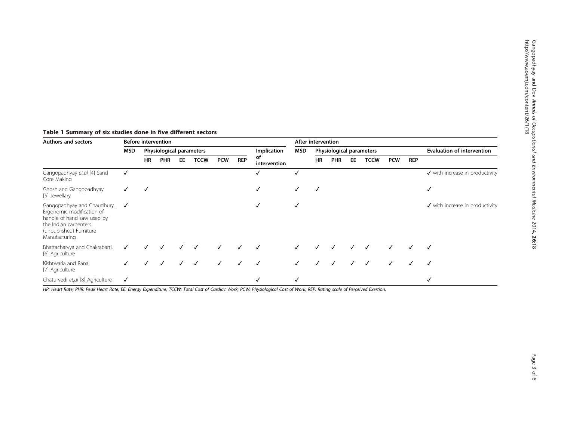| <b>Before intervention</b> |                          |            |    |             |              |              |                                   | After intervention |                          |              |              |              |              |              |                                            |
|----------------------------|--------------------------|------------|----|-------------|--------------|--------------|-----------------------------------|--------------------|--------------------------|--------------|--------------|--------------|--------------|--------------|--------------------------------------------|
| MSD                        | Physiological parameters |            |    |             |              |              | Implication<br>of                 | <b>MSD</b>         | Physiological parameters |              |              |              |              |              | <b>Evaluation of intervention</b>          |
|                            | HR                       | <b>PHR</b> | EE | <b>TCCW</b> | <b>PCW</b>   | <b>REP</b>   | intervention                      | <b>HR</b>          | <b>PHR</b>               | EE           | <b>TCCW</b>  | <b>PCW</b>   | <b>REP</b>   |              |                                            |
|                            |                          |            |    |             |              |              | ✓                                 |                    |                          |              |              |              |              |              | $\checkmark$ with increase in productivity |
|                            |                          |            |    |             |              |              | ✓                                 | ✓                  | √                        |              |              |              |              |              | ✓                                          |
| ✓                          |                          |            |    |             |              |              | √                                 | √                  |                          |              |              |              |              |              | $\checkmark$ with increase in productivity |
|                            |                          |            |    |             |              |              |                                   |                    |                          |              |              |              |              |              |                                            |
|                            |                          |            |    | $\sqrt{ }$  | $\checkmark$ | $\checkmark$ | $\overline{\phantom{a}}$          | $\checkmark$       | $\checkmark$             | $\checkmark$ | $\checkmark$ | $\checkmark$ | $\checkmark$ | $\checkmark$ | √                                          |
|                            |                          |            |    |             |              |              | J J J J J J J J J J J J J J J J J |                    |                          |              |              |              |              |              |                                            |

# <span id="page-2-0"></span>Table <sup>1</sup> Summary of six studies done in five different sectors

Gangopadhyay et.al [[4\]](#page-5-0) Sand

Ghosh and Gangopadhyay

Bhattacharyya and Chakrabarti,

Gangopadhyay and Chaudhury.  $\checkmark$ Ergonomic modification of handle of hand saw used by the Indian carpenters (unpublished) Furniture Manufacturing

Core Making

[\[5\]](#page-5-0) Jewellary

[\[6\]](#page-5-0) Agriculture

Kishtwaria and Rana, [\[7\]](#page-5-0) Agriculture

HR: Heart Rate; PHR: Peak Heart Rate; EE: Energy Expenditure; TCCW: Total Cost of Cardiac Work; PCW: Physiological Cost of Work; REP: Rating scale of Perceived Exertion.

Chaturvedi et.al [\[8\]](#page-5-0) Agriculture ✓ ✓✓ ✓

Authors and sectors **Before intervention Before** intervention **After intervention**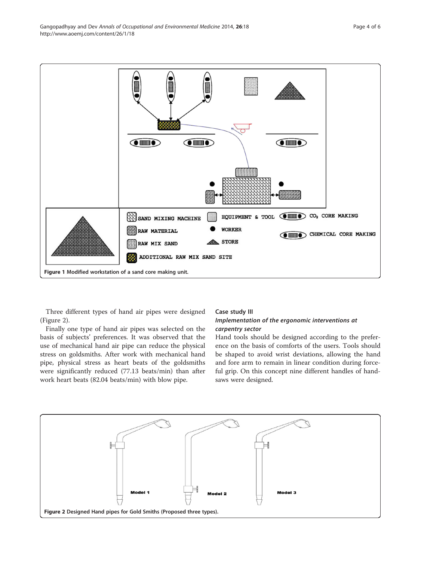Three different types of hand air pipes were designed (Figure 2).

Finally one type of hand air pipes was selected on the basis of subjects' preferences. It was observed that the use of mechanical hand air pipe can reduce the physical stress on goldsmiths. After work with mechanical hand pipe, physical stress as heart beats of the goldsmiths were significantly reduced (77.13 beats/min) than after work heart beats (82.04 beats/min) with blow pipe.

#### Case study III

# Implementation of the ergonomic interventions at carpentry sector

Hand tools should be designed according to the preference on the basis of comforts of the users. Tools should be shaped to avoid wrist deviations, allowing the hand and fore arm to remain in linear condition during forceful grip. On this concept nine different handles of handsaws were designed.



<span id="page-3-0"></span>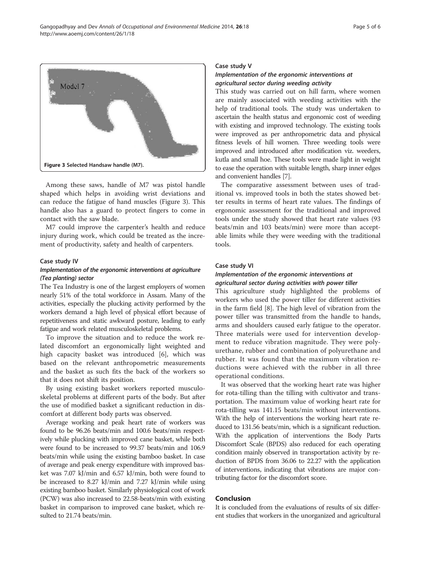

Among these saws, handle of M7 was pistol handle shaped which helps in avoiding wrist deviations and can reduce the fatigue of hand muscles (Figure 3). This handle also has a guard to protect fingers to come in contact with the saw blade.

M7 could improve the carpenter's health and reduce injury during work, which could be treated as the increment of productivity, safety and health of carpenters.

#### Case study IV

# Implementation of the ergonomic interventions at agriculture (Tea planting) sector

The Tea Industry is one of the largest employers of women nearly 51% of the total workforce in Assam. Many of the activities, especially the plucking activity performed by the workers demand a high level of physical effort because of repetitiveness and static awkward posture, leading to early fatigue and work related musculoskeletal problems.

To improve the situation and to reduce the work related discomfort an ergonomically light weighted and high capacity basket was introduced [\[6\]](#page-5-0), which was based on the relevant anthropometric measurements and the basket as such fits the back of the workers so that it does not shift its position.

By using existing basket workers reported musculoskeletal problems at different parts of the body. But after the use of modified basket a significant reduction in discomfort at different body parts was observed.

Average working and peak heart rate of workers was found to be 96.26 beats/min and 100.6 beats/min respectively while plucking with improved cane basket, while both were found to be increased to 99.37 beats/min and 106.9 beats/min while using the existing bamboo basket. In case of average and peak energy expenditure with improved basket was 7.07 kJ/min and 6.57 kJ/min, both were found to be increased to 8.27 kJ/min and 7.27 kJ/min while using existing bamboo basket. Similarly physiological cost of work (PCW) was also increased to 22.58-beats/min with existing basket in comparison to improved cane basket, which resulted to 21.74 beats/min.

#### Case study V

# Implementation of the ergonomic interventions at agricultural sector during weeding activity

This study was carried out on hill farm, where women are mainly associated with weeding activities with the help of traditional tools. The study was undertaken to ascertain the health status and ergonomic cost of weeding with existing and improved technology. The existing tools were improved as per anthropometric data and physical fitness levels of hill women. Three weeding tools were improved and introduced after modification viz. weeders, kutla and small hoe. These tools were made light in weight to ease the operation with suitable length, sharp inner edges and convenient handles [[7](#page-5-0)].

The comparative assessment between uses of traditional vs. improved tools in both the states showed better results in terms of heart rate values. The findings of ergonomic assessment for the traditional and improved tools under the study showed that heart rate values (93 beats/min and 103 beats/min) were more than acceptable limits while they were weeding with the traditional tools.

# Case study VI

# Implementation of the ergonomic interventions at agricultural sector during activities with power tiller

This agriculture study highlighted the problems of workers who used the power tiller for different activities in the farm field [\[8](#page-5-0)]. The high level of vibration from the power tiller was transmitted from the handle to hands, arms and shoulders caused early fatigue to the operator. Three materials were used for intervention development to reduce vibration magnitude. They were polyurethane, rubber and combination of polyurethane and rubber. It was found that the maximum vibration reductions were achieved with the rubber in all three operational conditions.

It was observed that the working heart rate was higher for rota-tilling than the tilling with cultivator and transportation. The maximum value of working heart rate for rota-tilling was 141.15 beats/min without interventions. With the help of interventions the working heart rate reduced to 131.56 beats/min, which is a significant reduction. With the application of interventions the Body Parts Discomfort Scale (BPDS) also reduced for each operating condition mainly observed in transportation activity by reduction of BPDS from 36.06 to 22.27 with the application of interventions, indicating that vibrations are major contributing factor for the discomfort score.

# Conclusion

It is concluded from the evaluations of results of six different studies that workers in the unorganized and agricultural